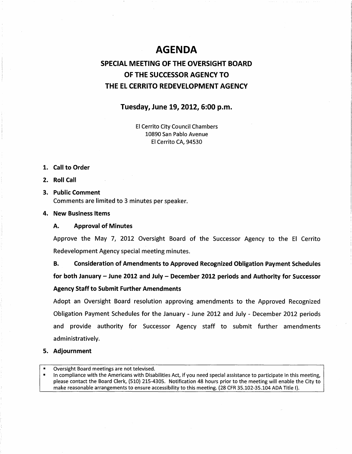# **AGENDA**

# SPECIAL MEETING OF THE OVERSIGHT BOARD OF THE SUCCESSOR AGENCY TO THE EL CERRITO REDEVELOPMENT AGENCY

# Tuesday, June 19, 2012, 6:00 p.m.

El Cerrito City Council Chambers 10890 San Pablo Avenue El Cerrito CA, 94530

- 1. Call to Order
- 2. Roll Call
- 3. Public Comment Comments are limited to 3 minutes per speaker.
- 4. New Business Items
	- A. Approval of Minutes

Approve the May 7, 2012 Oversight Board of the Successor Agency to the El Cerrito Redevelopment Agency special meeting minutes.

B. Consideration of Amendments to Approved Recognized Obligation Payment Schedules

for both January- June 2012 and July- December 2012 periods and Authority for Successor Agency Staff to Submit Further Amendments

Adopt an Oversight Board resolution approving amendments to the Approved Recognized Obligation Payment Schedules for the January - June 2012 and July - December 2012 periods and provide authority for Successor Agency staff to submit further amendments administratively.

## 5. Adjournment

- Oversight Board meetings are not televised.
- In compliance with the Americans with Disabilities Act, if you need special assistance to participate in this meeting, please contact the Board Clerk, {510) 215-4305. Notification 48 hours prior to the meeting will enable the City to make reasonable arrangements to ensure accessibility to this meeting. (28 CFR 35.102-35.104 ADA Title 1).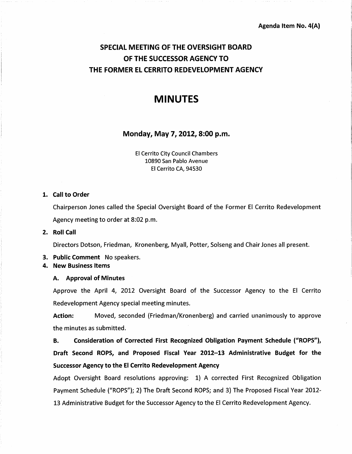# SPECIAL MEETING OF THE OVERSIGHT BOARD OF THE SUCCESSOR AGENCY TO THE FORMER EL CERRITO REDEVELOPMENT AGENCY

# MINUTES

# Monday, May 7, 2012, 8:00 p.m.

El Cerrito City Council Chambers 10890 San Pablo Avenue El Cerrito CA, 94530

### 1. Call to Order

Chairperson Jones called the Special Oversight Board of the Former El Cerrito Redevelopment Agency meeting to order at 8:02 p.m.

### 2. Roll Call

Directors Dotson, Friedman, Kronenberg, Myall, Potter, Solseng and Chair Jones all present.

- 3. Public Comment No speakers.
- 4. New Business Items

## A. Approval of Minutes

Approve the April 4, 2012 Oversight Board of the Successor Agency to the El Cerrito Redevelopment Agency special meeting minutes.

Action: Moved, seconded (Friedman/Kronenberg) and carried unanimously to approve the minutes as submitted.

B. Consideration of Corrected First Recognized Obligation Payment Schedule ("ROPS"), Draft Second ROPS, and Proposed Fiscal Year 2012-13 Administrative Budget for the Successor Agency to the El Cerrito Redevelopment Agency

Adopt Oversight Board resolutions approving: 1) A corrected First Recognized Obligation Payment Schedule ("ROPS"); 2) The Draft Second ROPS; and 3) The Proposed Fiscal Year 2012- 13 Administrative Budget for the Successor Agency to the El Cerrito Redevelopment Agency.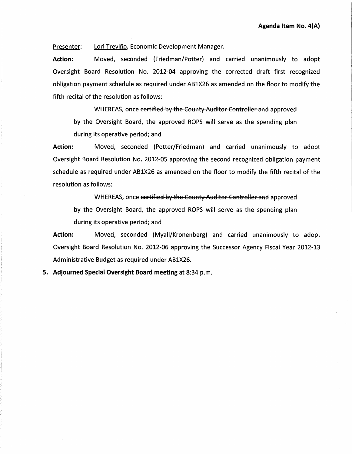Presenter: Lori Treviño, Economic Development Manager.

Action: Moved, seconded (Friedman/Potter) and carried unanimously to adopt Oversight Board Resolution No. 2012-04 approving the corrected draft first recognized obligation payment schedule as required under AB1X26 as amended on the floor to modify the fifth recital of the resolution as follows:

WHEREAS, once certified by the County Auditor Controller and approved by the Oversight Board, the approved ROPS will serve as the spending plan during its operative period; and

Action: Moved, seconded (Potter/Friedman) and carried unanimously to adopt Oversight Board Resolution No. 2012-05 approving the second recognized obligation payment schedule as required under AB1X26 as amended on the floor to modify the fifth recital of the resolution as follows:

WHEREAS, once certified by the County Auditor Controller and approved by the Oversight Board, the approved ROPS will serve as the spending plan during its operative period; and

Action: Moved, seconded (Myaii/Kronenberg) and carried unanimously to adopt Oversight Board Resolution No. 2012-06 approving the Successor Agency Fiscal Year 2012-13 Administrative Budget as required under AB1X26.

5. Adjourned Special Oversight Board meeting at 8:34 p.m.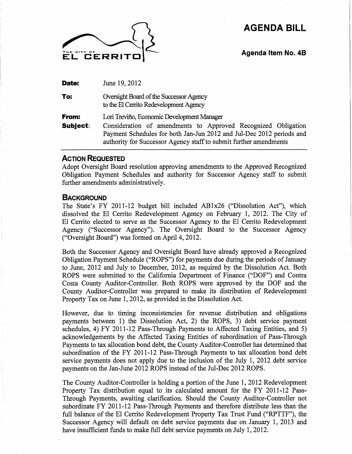# **AGENDA BILL**



**Agenda Item No. 48** 

**Date:**  June 19,2012

**To:**  Oversight Board of the Successor Agency to the El Cerrito Redevelopment Agency

**From: Subject:**  Lori Trevifio, Economic Development Manager Consideration of amendments to Approved Recognized Obligation Payment Schedules for both Jan-Jun 2012 and Jul-Dec 2012 periods and

# **ACTION REQUESTED**

Adopt Oversight Board resolution approving amendments to the Approved Recognized Obligation Payment Schedules and authority for Successor Agency staff to submit further amendments administratively.

authority for Successor Agency staff to submit further amendments

## **BACKGROUND**

The State's FY 2011-12 budget bill included AB1x26 ("Dissolution Act"), which dissolved the El Cerrito Redevelopment Agency on February 1, 2012. The City of El Cerrito elected to serve as the Successor Agency to the El Cerrito Redevelopment Agency ("Successor Agency"). The Oversight Board to the Successor Agency ("Oversight Board") was formed on April 4, 2012.

Both the Successor Agency and Oversight Board have already approved a Recognized Obligation Payment Schedule ("ROPS") for payments due during the periods of January to June, 2012 and July to December, 2012, as required by the Dissolution Act. Both ROPS were submitted to the California Department of Finance ("DOF") and Contra Costa County Auditor-Controller. Both ROPS were approved by the DOF and the County Auditor-Controller was prepared to make its distribution of Redevelopment Property Tax on June 1, 2012, as provided in the Dissolution Act.

However, due to timing inconsistencies for revenue distribution and obligations payments between 1) the Dissolution Act, 2) the ROPS, 3) debt service payment schedules, 4) FY 2011-12 Pass-Through Payments to Affected Taxing Entities, and 5) acknowledgements by the Affected Taxing Entities of subordination of Pass-Through Payments to tax allocation bond debt, the County Auditor-Controller has determined that subordination of the FY 2011-12 Pass-Through Payments to tax allocation bond debt service payments does not apply due to the inclusion of the July 1, 2012 debt service payments on the Jan-June 2012 ROPS instead of the Jul-Dec 2012 ROPS.

The County Auditor-Controller is holding a portion of the June 1, 2012 Redevelopment Property Tax distribution equal to its calculated amount for the FY 2011-12 Pass-Through Payments, awaiting clarification. Should the County Auditor-Controller not subordinate FY 2011-12 Pass-Through Payments and therefore distribute less than the full balance of the El Cerrito Redevelopment Property Tax Trust Fund ("RPTTF"), the Successor Agency will default on debt service payments due on January 1, 2013 and have insufficient funds to make full debt service payments on July 1, 2012.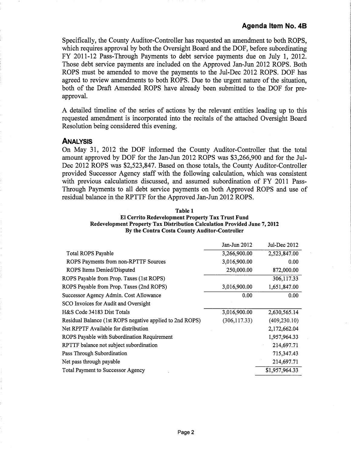Specifically, the County Auditor-Controller has requested an amendment to both ROPS, which requires approval by both the Oversight Board and the DOF, before subordinating FY 2011-12 Pass-Through Payments to debt service payments due on July 1, 2012. Those debt service payments are included on the Approved Jan-Jun 2012 ROPS. Both ROPS must be amended to move the payments to the Jul-Dec 2012 ROPS. DOF has agreed to review amendments to both ROPS. Due to the urgent nature of the situation, both of the Draft Amended ROPS have already been submitted to the DOF for preapproval.

A detailed timeline of the series of actions by the relevant entities leading up to this requested amendment is incorporated into the recitals of the attached Oversight Board Resolution being considered this evening.

## **ANALYSIS**

On May 31, 2012 the DOF informed the County Auditor-Controller that the total amount approved by DOF for the Jan-Jun 2012 ROPS was \$3,266,900 and for the Jul-Dec 2012 ROPS was \$2,523,847. Based on those totals, the County Auditor-Controller provided Successor Agency staff with the following calculation, which was consistent with previous calculations discussed, and assumed subordination of FY 2011 Pass-Through Payments to all debt service payments on both Approved ROPS and use of residual balance in the RPTTF for the Approved Jan-Jun 2012 ROPS.

| Table 1                                                                   |
|---------------------------------------------------------------------------|
| <b>El Cerrito Redevelopment Property Tax Trust Fund</b>                   |
| Redevelopment Property Tax Distribution Calculation Provided June 7, 2012 |
| By the Contra Costa County Auditor-Controller                             |

|                                                          | Jan-Jun 2012  | Jul-Dec 2012   |
|----------------------------------------------------------|---------------|----------------|
| <b>Total ROPS Payable</b>                                | 3,266,900.00  | 2,523,847.00   |
| ROPS Payments from non-RPTTF Sources                     | 3,016,900.00  | 0.00           |
| ROPS Items Denied/Disputed                               | 250,000.00    | 872,000.00     |
| ROPS Payable from Prop. Taxes (1st ROPS)                 |               | 306,117.33     |
| ROPS Payable from Prop. Taxes (2nd ROPS)                 | 3,016,900.00  | 1,651,847.00   |
| Successor Agency Admin. Cost Allowance                   | 0.00          | 0.00           |
| SCO Invoices for Audit and Oversight                     |               |                |
| H&S Code 34183 Dist Totals                               | 3,016,900.00  | 2,630,565.14   |
| Residual Balance (1st ROPS negative applied to 2nd ROPS) | (306, 117.33) | (409, 230.10)  |
| Net RPPTF Available for distribution                     |               | 2,172,662.04   |
| ROPS Payable with Subordination Requirement              |               | 1,957,964.33   |
| RPTTF balance not subject subordination                  |               | 214,697.71     |
| Pass Through Subordination                               |               | 715,347.43     |
| Net pass through payable                                 |               | 214,697.71     |
| <b>Total Payment to Successor Agency</b>                 |               | \$1,957,964.33 |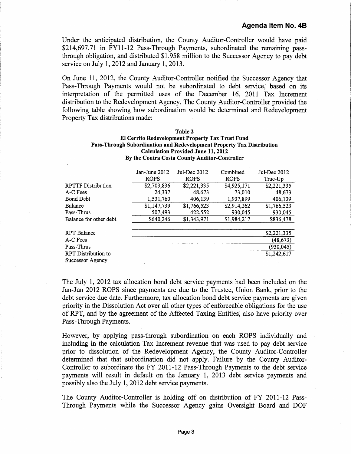Under the anticipated distribution, the County Auditor-Controller would have paid \$214,697.71 in FY11-12 Pass-Through Payments, subordinated the remaining passthrough obligation, and distributed \$1.958 million to the Successor Agency to pay debt service on July 1, 2012 and January 1, 2013.

On June 11, 2012, the County Auditor-Controller notified the Successor Agency that Pass-Through Payments would not be subordinated to debt service, based on its interpretation of the permitted uses of the December 16, 2011 Tax Increment distribution to the Redevelopment Agency. The County Auditor-Controller provided the following table showing how subordination would be determined and Redevelopment Property Tax distributions made:

| Table 2                                                                |
|------------------------------------------------------------------------|
| <b>El Cerrito Redevelopment Property Tax Trust Fund</b>                |
| Pass-Through Subordination and Redevelopment Property Tax Distribution |
| <b>Calculation Provided June 11, 2012</b>                              |
| By the Contra Costa County Auditor-Controller                          |

|                            | Jan-June 2012 | Jul-Dec 2012 | Combined    | Jul-Dec 2012 |  |  |
|----------------------------|---------------|--------------|-------------|--------------|--|--|
|                            | <b>ROPS</b>   | <b>ROPS</b>  | <b>ROPS</b> | True-Up      |  |  |
| <b>RPTTF Distribution</b>  | \$2,703,836   | \$2,221,335  | \$4,925,171 | \$2,221,335  |  |  |
| A-C Fees                   | 24,337        | 48,673       | 73,010      | 48,673       |  |  |
| <b>Bond Debt</b>           | 1,531,760     | 406,139      | 1,937,899   | 406,139      |  |  |
| Balance                    | \$1,147,739   | \$1,766,523  | \$2,914,262 | \$1,766,523  |  |  |
| Pass-Thrus                 | 507,493       | 422,552      | 930,045     | 930,045      |  |  |
| Balance for other debt     | \$640,246     | \$1,343,971  | \$1,984,217 | \$836,478    |  |  |
| <b>RPT</b> Balance         |               |              |             | \$2,221,335  |  |  |
| A-C Fees                   |               |              |             | (48, 673)    |  |  |
| Pass-Thrus                 |               |              |             | (930,045)    |  |  |
| <b>RPT</b> Distribution to |               |              |             | \$1,242,617  |  |  |
| Successor Agency           |               |              |             |              |  |  |

The July 1, 2012 tax allocation bond debt service payments had been included on the Jan-Jun 2012 ROPS since payments are due to the Trustee, Union Bank, prior to the debt service due date. Furthermore, tax allocation bond debt service payments are given priority in the Dissolution Act over all other types of enforceable obligations for the use of RPT, and by the agreement of the Affected Taxing Entities, also have priority over Pass-Through Payments.

However, by applying pass-through subordination on each ROPS individually and including in the calculation Tax Increment revenue that was used to pay debt service prior to dissolution of the Redevelopment Agency, the County Auditor-Controller determined that that subordination did not apply. Failure by the County Auditor-Controller to subordinate the FY 2011-12 Pass-Through Payments to the debt service payments will result in default on the January 1, 2013 debt service payments and possibly also the July 1, 2012 debt service payments.

The County Auditor-Controller is holding off on distribution of FY 2011-12 Pass-Through Payments while the Successor Agency gains Oversight Board and DOF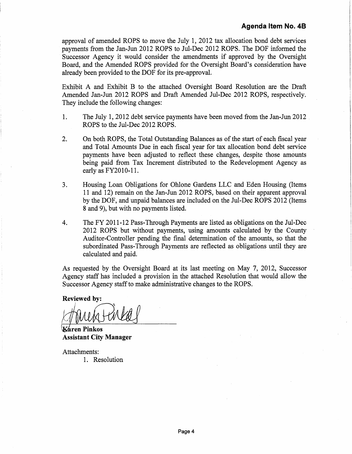approval of amended ROPS to move the July 1, 2012 tax allocation bond debt services payments from the Jan-Jun 2012 ROPS to Jul-Dec 2012 ROPS. The DOF informed the Successor Agency it would consider the amendments if approved by the Oversight Board, and the Amended ROPS provided for the Oversight Board's consideration have already been provided to the DOF for its pre-approval.

Exhibit A and Exhibit B to the attached Oversight Board Resolution are the Draft Amended Jan-Jun 2012 ROPS and Draft Amended Jul-Dec 2012 ROPS, respectively. They include the following changes:

- 1. The July 1, 2012 debt service payments have been moved from the Jan-Jun 2012 . ROPS to the Jul-Dec 2012 ROPS.
- 2. On both ROPS, the Total Outstanding Balances as of the start of each fiscal year and Total Amounts Due in each fiscal year for tax allocation bond debt service payments have been adjusted to reflect these changes, despite those amounts being paid from Tax Increment distributed to the Redevelopment Agency as early as FY2010-11.
- 3. Housing Loan Obligations for Ohlone Gardens LLC and Eden Housing (Items 11 and 12) remain on the Jan-Jun 2012 ROPS, based on their apparent approval by the DOF, and unpaid balances are included on the Jul-Dec ROPS 2012 (Items 8 and 9), but with no payments listed.
- 4. The FY 2011-12 Pass-Through Payments are listed as obligations on the Jul-Dec 2012 ROPS but without payments, using amounts calculated by the County Auditor-Controller pending the final determination of the amounts, so that the subordinated Pass-Through Payments are reflected as obligations until they are calculated and paid.

As requested by the Oversight Board at its last meeting on May 7, 2012, Successor Agency staff has included a provision in the attached Resolution that would allow the Successor Agency staff to make administrative changes to the ROPS.

Reviewed by:

 $\kappa$ áren Pinkos Assistant City Manager

Attachments: 1. Resolution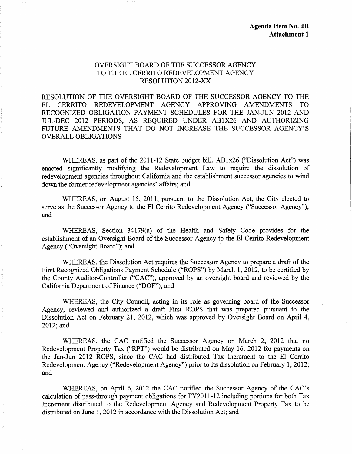# OVERSIGHT BOARD OF THE SUCCESSOR AGENCY TO THE EL CERRITO REDEVELOPMENT AGENCY RESOLUTION 2012-XX

RESOLUTION OF THE OVERSIGHT BOARD OF THE SUCCESSOR AGENCY TO THE EL CERRITO REDEVELOPMENT AGENCY APPROVING AMENDMENTS TO RECOGNIZED OBLIGATION PAYMENT SCHEDULES FOR THE JAN-JUN 2012 AND mL-DEC 2012 PERIODS, AS REQUIRED UNDER AB1X26 AND AUTHORIZING FUTURE AMENDMENTS THAT DO NOT INCREASE THE SUCCESSOR AGENCY'S OVERALL OBLIGATIONS

WHEREAS, as part of the 2011-12 State budget bill, AB1x26 ("Dissolution Act") was enacted significantly modifying the Redevelopment Law to require the dissolution of redevelopment agencies throughout California and the establishment successor agencies to wind down the former redevelopment agencies' affairs; and

WHEREAS, on August 15, 2011, pursuant to the Dissolution Act, the City elected to serve as the Successor Agency to the El Cerrito Redevelopment Agency ("Successor Agency"); and

WHEREAS, Section 34179(a) of the Health and Safety Code provides for the establishment of an Oversight Board of the Successor Agency to the El Cerrito Redevelopment Agency ("Oversight Board"); and

WHEREAS, the Dissolution Act requires the Successor Agency to prepare a draft of the First Recognized Obligations Payment Schedule ("ROPS") by March 1, 2012, to be certified by the County Auditor-Controller ("CAC"), approved by an oversight board and reviewed by the California Department of Finance ("DOF"); and

WHEREAS, the City Council, acting in its role as governing board of the Successor Agency, reviewed and authorized a draft First ROPS that was prepared pursuant to the Dissolution Act on February 21, 2012, which was approved by Oversight Board on April 4, 2012;and

WHEREAS, the CAC notified the Successor Agency on March 2, 2012 that no Redevelopment Property Tax ("RPT") would be distributed on May 16, 2012 for payments on the Jan-Jun 2012 ROPS, since the CAC had distributed Tax Increment to the El Cerrito Redevelopment Agency ("Redevelopment Agency") prior to its dissolution on February 1, 2012; and

WHEREAS, on April 6, 2012 the CAC notified the Successor Agency of the CAC's calculation of pass-through payment obligations for FY2011-12 including portions for both Tax Increment distributed to the Redevelopment Agency and Redevelopment Property Tax to be distributed on June 1, 2012 in accordance with the Dissolution Act; and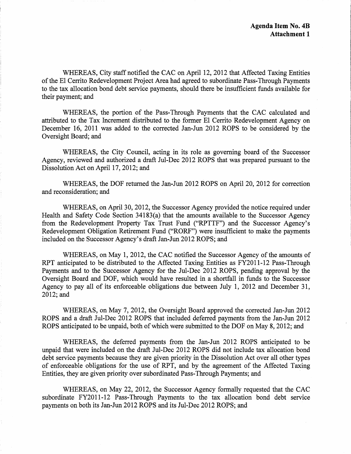WHEREAS, City staff notified the CAC on April 12, 2012 that Affected Taxing Entities of the El Cerrito Redevelopment Project Area had agreed to subordinate Pass-Through Payments to the tax allocation bond debt service payments, should there be insufficient funds available for their payment; and

WHEREAS, the portion of the Pass-Through Payments that the CAC calculated and attributed to the Tax Increment distributed to the former El Cerrito Redevelopment Agency on December 16, 2011 was added to the corrected Jan-Jun 2012 ROPS to be considered by the Oversight Board; and

WHEREAS, the City Council, acting in its role as governing board of the Successor Agency, reviewed and authorized a draft Jul-Dec 2012 ROPS that was prepared pursuant to the Dissolution Act on April 17, 2012; and

WHEREAS, the DOF returned the Jan-Jun 2012 ROPS on April 20, 2012 for correction and reconsideration; and

WHEREAS, on April 30, 2012, the Successor Agency provided the notice required under Health and Safety Code Section 34183(a) that the amounts available to the Successor Agency from the Redevelopment Property Tax Trust Fund ("RPTTF") and the Successor Agency's Redevelopment Obligation Retirement Fund ("RORF") were insufficient to make the payments included on the Successor Agency's draft Jan-Jun 2012 ROPS; and

WHEREAS, on May 1, 2012, the CAC notified the Successor Agency of the amounts of RPT anticipated to be distributed to the Affected Taxing Entities as FY2011-12 Pass-Through Payments and to the Successor Agency for the Jul-Dec 2012 ROPS, pending approval by the Oversight Board and DOF, which would have resulted in a shortfall in funds to the Successor Agency to pay all of its enforceable obligations due between July 1, 2012 and December 31, 2012; and

WHEREAS, on May 7, 2012, the Oversight Board approved the corrected Jan-Jun 2012 ROPS and a draft Jul-Dec 2012 ROPS that included deferred payments from the Jan-Jun 2012 ROPS anticipated to be unpaid, both of which were submitted to the DOF on May 8, 2012; and

WHEREAS, the deferred payments from the Jan-Jun 2012 ROPS anticipated to be unpaid that were included on the draft Jul-Dec 2012 ROPS did not include tax allocation bond debt service payments because they are given priority in the Dissolution Act over all other types of enforceable obligations for the use of RPT, and by the agreement of the Affected Taxing Entities, they are given priority over subordinated Pass-Through Payments; and

WHEREAS, on May 22, 2012, the Successor Agency formally requested that the CAC subordinate FY2011-12 Pass-Through Payments to the tax allocation bond debt service payments on both its Jan-Jun 2012 ROPS and its Jul-Dec 2012 ROPS; and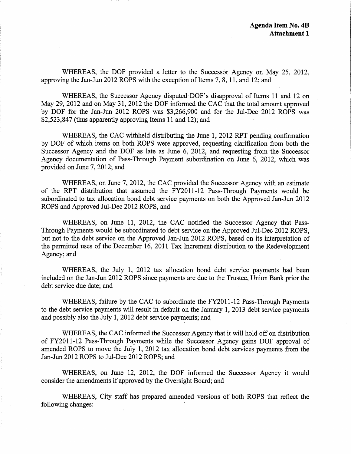WHEREAS, the DOF provided a letter to the Successor Agency on May 25, 2012, approving the Jan-Jun 2012 ROPS with the exception of Items 7, 8, 11, and 12; and

WHEREAS, the Successor Agency disputed DOF's disapproval of Items 11 and 12 on May 29, 2012 and on May 31, 2012 the DOF informed the CAC that the total amount approved by DOF for the Jan-Jun 2012 ROPS was \$3,266,900 and for the Jul-Dec 2012 ROPS was \$2,523,847 (thus apparently approving Items 11 and 12); and

WHEREAS, the CAC withheld distributing the June 1, 2012 RPT pending confirmation by DOF of which items on both ROPS were approved, requesting clarification from both the Successor Agency and the DOF as late as June 6, 2012, and requesting from the Successor Agency documentation of Pass-Through Payment subordination on June 6, 2012, which was provided on June 7, 2012; and

WHEREAS, on June 7, 2012, the CAC provided the Successor Agency with an estimate of the RPT distribution that assumed the FY2011-12 Pass-Through Payments would be subordinated to tax allocation bond debt service payments on both the Approved Jan-Jun 2012 ROPS and Approved Jul-Dec 2012 ROPS, and

WHEREAS, on June 11, 2012, the CAC notified the Successor Agency that Pass-Through Payments would be subordinated to debt service on the Approved Jul-Dec 2012 ROPS, but not to the debt service on the Approved Jan-Jun 2012 ROPS, based on its interpretation of the permitted uses of the December 16, 2011 Tax Increment distribution to the Redevelopment Agency; and

WHEREAS, the July 1, 2012 tax allocation bond debt service payments had been included on the Jan-Jun 2012 ROPS since payments are due to the Trustee, Union Bank prior the debt service due date; and

WHEREAS, failure by the CAC to subordinate the FY2011-12 Pass-Through Payments to the debt service payments will result in default on the January 1, 2013 debt service payments and possibly also the July 1, 2012 debt service payments; and

WHEREAS, the CAC informed the Successor Agency that it will hold off on distribution of FY2011-12 Pass-Through Payments while the Successor Agency gains DOF approval of amended ROPS to move the July 1, 2012 tax allocation bond debt services payments from the Jan-Jun 2012 ROPS to Jul-Dec 2012 ROPS; and

WHEREAS, on June 12, 2012, the DOF informed the Successor Agency it would consider the amendments if approved by the Oversight Board; and

WHEREAS, City staff has prepared amended versions of both ROPS that reflect the following changes: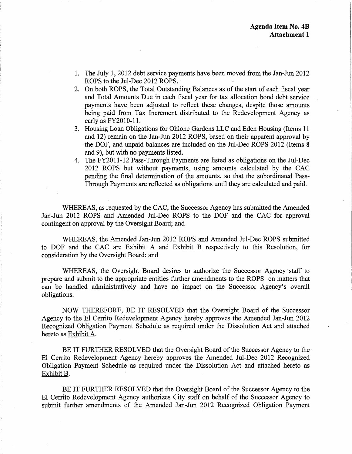- 1. The July 1, 2012 debt service payments have been moved from the Jan-Jun 2012 ROPS to the Jul-Dec 2012 ROPS.
- 2. On both ROPS, the Total Outstanding Balances as of the start of each fiscal year and Total Amounts Due in each fiscal year for tax allocation bond debt service payments have been adjusted to reflect these changes, despite those amounts being paid from Tax Increment distributed to the Redevelopment Agency as early as FY2010-11.
- 3. Housing Loan Obligations for Ohlone Gardens LLC and Eden Housing (Items 11 and 12) remain on the Jan-Jun 2012 ROPS, based on their apparent approval by the DOF, and unpaid balances are included on the Jul-Dec ROPS 2012 (Items 8 and 9), but with no payments listed.
- 4. The FY2011-12 Pass-Through Payments are listed as obligations on the Jul-Dec 2012 ROPS but without payments, using amounts calculated by the CAC pending the final determination of the amounts, so that the subordinated Pass-Through Payments are reflected as obligations until they are calculated and paid.

WHEREAS, as requested by the CAC, the Successor Agency has submitted the Amended Jan-Jun 2012 ROPS and Amended Jul-Dec ROPS to the DOF and the CAC for approval contingent on approval by the Oversight Board; and

WHEREAS, the Amended Jan-Jun 2012 ROPS and Amended Jul-Dec ROPS submitted to DOF and the CAC are  $Exhibit A$  and  $Exhibit B$  respectively to this Resolution, for consideration by the Oversight Board; and

WHEREAS, the Oversight Board desires to authorize the Successor Agency staff to prepare and submit to the appropriate entities further amendments to the ROPS on matters that can be handled administratively and have no impact on the Successor Agency's overall obligations.

NOW THEREFORE, BE IT RESOLVED that the Oversight Board of the Successor Agency to the El Cerrito Redevelopment Agency hereby approves the Amended Jan-Jun 2012 Recognized Obligation Payment Schedule as required under the Dissolution Act and attached hereto as Exhibit A.

BE IT FURTHER RESOLVED that the Oversight Board of the Successor Agency to the El Cerrito Redevelopment Agency hereby approves the Amended Jul-Dec 2012 Recognized Obligation Payment Schedule as required under the Dissolution Act and attached hereto as Exhibit B.

BE IT FURTHER RESOLVED that the Oversight Board of the Successor Agency to the El Cerrito Redevelopment Agency authorizes City staff on behalf of the Successor Agency to submit further amendments of the Amended Jan-Jun 2012 Recognized Obligation Payment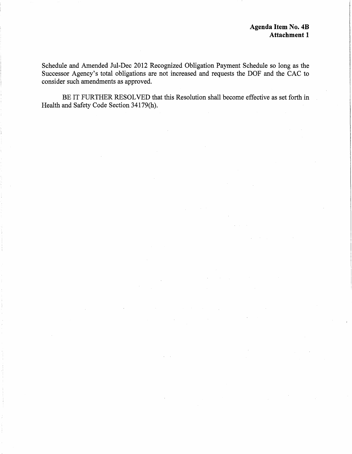Schedule and Amended Jul-Dec 2012 Recognized Obligation Payment Schedule so long as the Successor Agency's total obligations are not increased and requests the DOF and the CAC to consider such amendments as approved.

BE IT FURTHER RESOLVED that this Resolution shall become effective as set forth in Health and Safety Code Section 34179(h).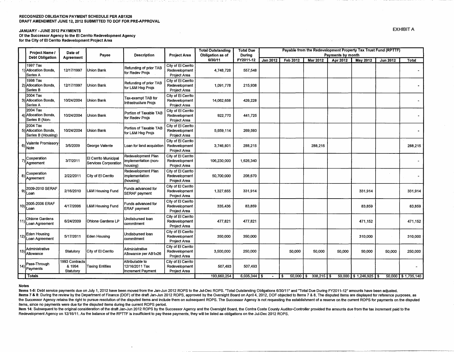### RECOGNIZED OBLIGATION PAYMENT SCHEDULE PER AB1X26 DRAFT AMENDMENT JUNE 12,2012 SUBMITTED TO DOF FOR PRE-APPROVAL

### JANUARY -JUNE 2012 PAYMENTS

Of the Successor Agency to the El Cerrito Redevelopment Agency for the City of El Cerrito Redevelopment Project Area

|      | Project Name /                                         | Date of                               |                                              |                                                        |                                                     | <b>Total Outstanding</b> | <b>Total Due</b> | Payable from the Redevelopment Property Tax Trust Fund (RPTTF) |          |                              |                   |                             |                 |                    |
|------|--------------------------------------------------------|---------------------------------------|----------------------------------------------|--------------------------------------------------------|-----------------------------------------------------|--------------------------|------------------|----------------------------------------------------------------|----------|------------------------------|-------------------|-----------------------------|-----------------|--------------------|
|      | <b>Debt Obligation</b>                                 | Agreement                             | Payee                                        | <b>Description</b>                                     | <b>Project Area</b>                                 | Obligation as of         | During           |                                                                |          |                              | Payments by month |                             |                 |                    |
|      |                                                        |                                       |                                              |                                                        |                                                     | 6/30/11                  | FY2011-12        | <b>Jan 2012</b>                                                | Feb 2012 | <b>Mar 2012</b>              | Apr 2012          | May 2012                    | <b>Jun 2012</b> | Total              |
|      | 1997 Tax<br>Allocation Bonds,<br>Series A              | 12/17/1997                            | Union Bank                                   | Refunding of prior TAB<br>for Redev Projs              | City of El Cerrito<br>Redevelopment<br>Project Area | 4,748,728                | 557,548          |                                                                |          |                              |                   |                             |                 |                    |
|      | 1998 Tax<br>2) Allocation Bonds.<br>Series B           | 12/17/1997                            | Union Bank                                   | Refunding of prior TAB<br>for L&M Hsg Prois            | City of El Cerrito<br>Redevelopment<br>Project Area | 1,091,778                | 215,938          |                                                                |          |                              |                   |                             |                 |                    |
|      | 2004 Tax<br>3) Allocation Bonds,<br>Series A           | 10/24/2004                            | Union Bank                                   | Tax-exempt TAB for<br>Infrastructure Projs             | City of El Cerrito<br>Redevelopment<br>Project Area | 14,062,658               | 426,228          |                                                                |          |                              |                   |                             |                 |                    |
|      | 2004 Tax<br>4) Allocation Bonds.<br>Series B (Non-     | 10/24/2004                            | Union Bank                                   | Portion of Taxable TAB<br>for Redev Projs              | City of El Cerrito<br>Redevelopment<br>Project Area | 922,770                  | 441,725          |                                                                |          |                              |                   |                             |                 |                    |
|      | 2004 Tax<br>5) Allocation Bonds.<br>Series B (Housing) | 10/24/2004                            | Union Bank                                   | Portion of Taxable TAB<br>for L&M Hsg Projs            | City of El Cerrito<br>Redevelopment<br>Project Area | 5,659,114                | 269,593          |                                                                |          |                              |                   |                             |                 |                    |
|      | Valente Promissory<br>$6)$ Note                        | 3/5/2009                              | George Valente                               | Loan for land acquistion                               | City of El Cerrito<br>Redevelopment<br>Project Area | 3,746,801                | 288,215          |                                                                |          | 288,215                      |                   |                             |                 | 288,215            |
|      | Cooperation<br>Agreement                               | 3/7/2011                              | El Cerrito Municipal<br>Services Corporation | Redevelopment Plan<br>implementation (non-<br>housing) | City of El Cerrito<br>Redevelopment<br>Project Area | 106,230,000              | 1,626,340        |                                                                |          |                              |                   |                             |                 | ٠                  |
| 8)   | Cooperation<br>Agreement                               | 2/22/2011                             | City of El Cerrito                           | Redevelopment Plan<br>implementation<br>(housing)      | City of El Cerrito<br>Redevelopment<br>Project Area | 50,700,000               | 208,670          |                                                                |          |                              |                   |                             |                 |                    |
| 9    | 2009-2010 SERAF<br>Loan                                | 2/16/2010                             | L&M Housing Fund                             | Funds advanced for<br>SERAF payment                    | City of El Cerrito<br>Redevelopment<br>Project Area | 1,327,655                | 331,914          |                                                                |          |                              |                   | 331,914                     |                 | 331,914            |
| 10)  | 2005-2006 ERAF<br>Loan                                 | 4/17/2006                             | L&M Housing Fund                             | Funds advanced for<br><b>ERAF</b> payment              | City of El Cerrito<br>Redevelopment<br>Project Area | 335,436                  | 83,859           |                                                                |          |                              |                   | 83,859                      |                 | 83,859             |
| -11) | Ohlone Gardens<br>Loan Agreement                       | 6/24/2009                             | Ohlone Gardens LP                            | Jndisbursed Ioan<br>commitment                         | City of El Cerrito<br>Redevelopment<br>Project Area | 477,821                  | 477.821          |                                                                |          |                              |                   | 471,152                     |                 | 471,152            |
| 12)  | Eden Housing<br><b>I</b> Loan Agreement                | 5/17/2011                             | Eden Housing                                 | Undisbursed Ioan<br>commitment                         | City of El Cerrito<br>Redevelopment<br>Project Area | 350,000                  | 350,000          |                                                                |          |                              |                   | 310,000                     |                 | 310,000            |
| 13)  | Administrative<br>Allowance                            | Statutory                             | City of El Cerrito                           | Administrative<br>Allowance per AB1x26                 | City of El Cerrito<br>Redevelopment<br>Project Area | 3,500,000                | 250,000          |                                                                | 50,000   | 50,000                       | 50,000            | 50,000                      | 50,000          | 250,000            |
|      | 14) Pass-Through                                       | 1993 Contracts<br>& 1994<br>Statutory | <b>Taxing Entities</b>                       | Attributable to<br>12/16/2011 Tax<br>Increment Payment | City of El Cerrito<br>Redevelopment<br>Project Area | 507,493                  | 507,493          |                                                                |          |                              |                   |                             |                 |                    |
|      | <b>Totals</b>                                          |                                       |                                              |                                                        |                                                     | 193,660,254              | $6,035,344$ \$   |                                                                | i \$     | $50,000$ $\frac{338,215}{5}$ |                   | $50,000$   \$1,246,925   \$ |                 | 50,000 \$1,735,140 |

#### Notes

Items 1-5: Debt service payments due on July 1, 2012 have been moved from the Jan-Jun 2012 ROPS to the Jui-Dec ROPS. "Total Outstanding Obligations 6/30/11" and ''Total Due During FY2011-12" amounts have been adjusted. Items 7 & 8: During the review by the Department of Finance (DOF) of the draft Jan-Jun 2012 ROPS, approved by the Oversight Board on April 4, 2012, DOF objected to Items 7 & 8. The disputed items are displayed for referenc the Successor Agency retains the right to pursue resolution of the disputed items and include them on subsequent ROPS. The Successor Agency is not requesting the establishment of a reserve on the current ROPS for payments items, since no payments were due for the disputed items during the current ROPS period.

Item 14: Subsequent to the original consideration of the draft Jan-Jun 2012 ROPS by the Successor Agency and the Oversight Board, the Contra Costa County Auditor-Controller provided the amounts due from the tax increment p Redevelopment Agency on 12/16/11. As the balance of the RPTTF is insufficient to pay these payments, they will be listed as obligations on the Jul-Dec 2012 ROPS.